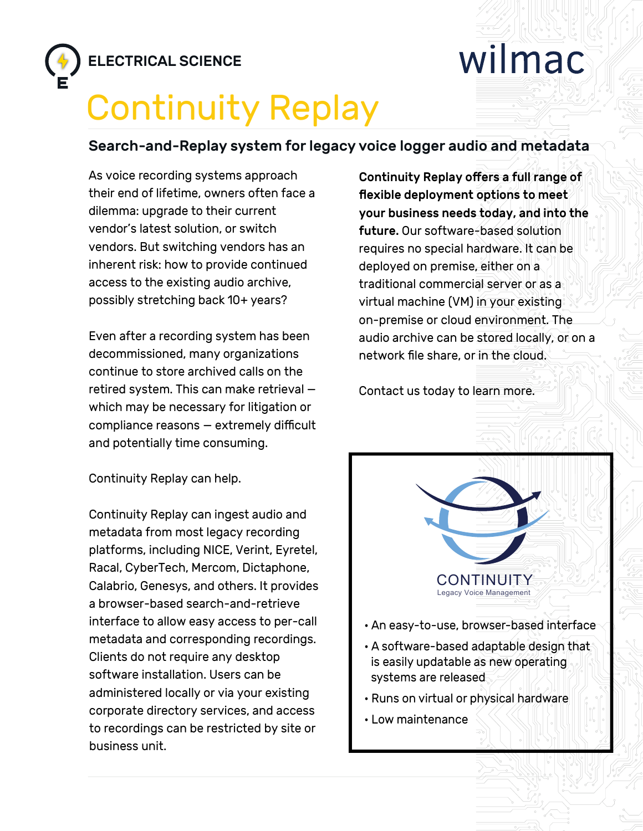

## wilmac

## Continuity Replay

## Search-and-Replay system for legacy voice logger audio and metadata

As voice recording systems approach their end of lifetime, owners often face a dilemma: upgrade to their current vendor's latest solution, or switch vendors. But switching vendors has an inherent risk: how to provide continued access to the existing audio archive, possibly stretching back 10+ years?

Even after a recording system has been decommissioned, many organizations continue to store archived calls on the retired system. This can make retrieval which may be necessary for litigation or compliance reasons — extremely difficult and potentially time consuming.

Continuity Replay can help.

Continuity Replay can ingest audio and metadata from most legacy recording platforms, including NICE, Verint, Eyretel, Racal, CyberTech, Mercom, Dictaphone, Calabrio, Genesys, and others. It provides a browser-based search-and-retrieve interface to allow easy access to per-call metadata and corresponding recordings. Clients do not require any desktop software installation. Users can be administered locally or via your existing corporate directory services, and access to recordings can be restricted by site or business unit.

Continuity Replay offers a full range of flexible deployment options to meet your business needs today, and into the future. Our software-based solution requires no special hardware. It can be deployed on premise, either on a traditional commercial server or as a virtual machine (VM) in your existing on-premise or cloud environment. The audio archive can be stored locally, or on a network file share, or in the cloud.

Contact us today to learn more.



- An easy-to-use, browser-based interface
- A software-based adaptable design that is easily updatable as new operating systems are released
- Runs on virtual or physical hardware
- Low maintenance